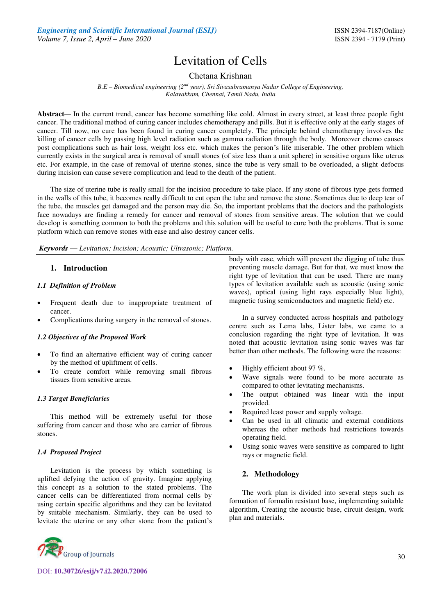# Levitation of Cells

Chetana Krishnan

*B.E – Biomedical engineering (2nd year), Sri Sivasubramanya Nadar College of Engineering, Kalavakkam, Chennai, Tamil Nadu, India* 

**Abstract***—* In the current trend, cancer has become something like cold. Almost in every street, at least three people fight cancer. The traditional method of curing cancer includes chemotherapy and pills. But it is effective only at the early stages of cancer. Till now, no cure has been found in curing cancer completely. The principle behind chemotherapy involves the killing of cancer cells by passing high level radiation such as gamma radiation through the body. Moreover chemo causes post complications such as hair loss, weight loss etc. which makes the person's life miserable. The other problem which currently exists in the surgical area is removal of small stones (of size less than a unit sphere) in sensitive organs like uterus etc. For example, in the case of removal of uterine stones, since the tube is very small to be overloaded, a slight defocus during incision can cause severe complication and lead to the death of the patient.

The size of uterine tube is really small for the incision procedure to take place. If any stone of fibrous type gets formed in the walls of this tube, it becomes really difficult to cut open the tube and remove the stone. Sometimes due to deep tear of the tube, the muscles get damaged and the person may die. So, the important problems that the doctors and the pathologists face nowadays are finding a remedy for cancer and removal of stones from sensitive areas. The solution that we could develop is something common to both the problems and this solution will be useful to cure both the problems. That is some platform which can remove stones with ease and also destroy cancer cells.

*Keywords* **—** *Levitation; Incision; Acoustic; Ultrasonic; Platform.*

## **1. Introduction**

## *1.1 Definition of Problem*

- Frequent death due to inappropriate treatment of cancer.
- Complications during surgery in the removal of stones.

## *1.2 Objectives of the Proposed Work*

- To find an alternative efficient way of curing cancer by the method of upliftment of cells.
- To create comfort while removing small fibrous tissues from sensitive areas.

## *1.3 Target Beneficiaries*

This method will be extremely useful for those suffering from cancer and those who are carrier of fibrous stones.

## *1.4 Proposed Project*

Levitation is the process by which something is uplifted defying the action of gravity. Imagine applying this concept as a solution to the stated problems. The cancer cells can be differentiated from normal cells by using certain specific algorithms and they can be levitated by suitable mechanism. Similarly, they can be used to levitate the uterine or any other stone from the patient's



body with ease, which will prevent the digging of tube thus preventing muscle damage. But for that, we must know the right type of levitation that can be used. There are many types of levitation available such as acoustic (using sonic waves), optical (using light rays especially blue light), magnetic (using semiconductors and magnetic field) etc.

In a survey conducted across hospitals and pathology centre such as Lema labs, Lister labs, we came to a conclusion regarding the right type of levitation. It was noted that acoustic levitation using sonic waves was far better than other methods. The following were the reasons:

- Highly efficient about 97 %.
- Wave signals were found to be more accurate as compared to other levitating mechanisms.
- The output obtained was linear with the input provided.
- Required least power and supply voltage.
- Can be used in all climatic and external conditions whereas the other methods had restrictions towards operating field.
- Using sonic waves were sensitive as compared to light rays or magnetic field.

# **2. Methodology**

The work plan is divided into several steps such as formation of formalin resistant base, implementing suitable algorithm, Creating the acoustic base, circuit design, work plan and materials.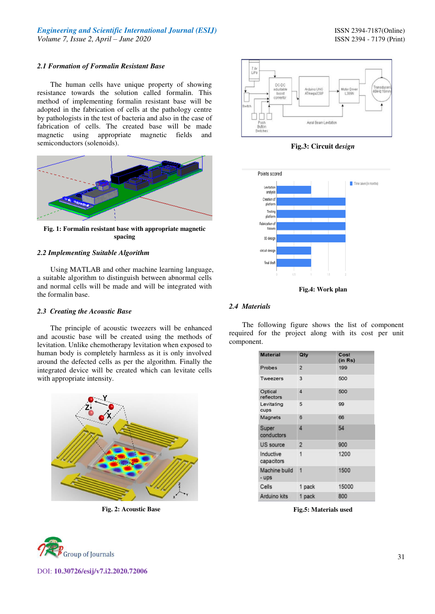#### *2.1 Formation of Formalin Resistant Base*

The human cells have unique property of showing resistance towards the solution called formalin. This method of implementing formalin resistant base will be adopted in the fabrication of cells at the pathology centre by pathologists in the test of bacteria and also in the case of fabrication of cells. The created base will be made magnetic using appropriate magnetic fields and semiconductors (solenoids).



**Fig. 1: Formalin resistant base with appropriate magnetic spacing** 

## *2.2 Implementing Suitable Algorithm*

Using MATLAB and other machine learning language, a suitable algorithm to distinguish between abnormal cells and normal cells will be made and will be integrated with the formalin base.

#### *2.3 Creating the Acoustic Base*

The principle of acoustic tweezers will be enhanced and acoustic base will be created using the methods of levitation. Unlike chemotherapy levitation when exposed to human body is completely harmless as it is only involved around the defected cells as per the algorithm. Finally the integrated device will be created which can levitate cells with appropriate intensity.



**Fig. 2: Acoustic Base** 



DOI: **10.30726/esij/v7.i2.2020.72006**



**Fig.3: Circuit d***esign*



**Fig.4: Work plan** 

## *2.4 Materials*

The following figure shows the list of component required for the project along with its cost per unit component.

| <b>Material</b>         | Qty            | Cost<br>(in Rs) |
|-------------------------|----------------|-----------------|
| Probes                  | $\overline{2}$ | 199             |
| Tweezers                | 3              | 500             |
| Optical<br>reflectors   | 4              | 500             |
| Levitating<br>cups      | 5              | 99              |
| Magnets                 | 6              | 66              |
| Super<br>conductors     | 4              | 54              |
| US source               | $\overline{2}$ | 900             |
| Inductive<br>capacitors | 1              | 1200            |
| Machine build<br>- ups  | 4              | 1500            |
| Cells                   | 1 pack         | 15000           |
| Arduino kits            | 1 pack         | 800             |

**Fig.5: Materials used**